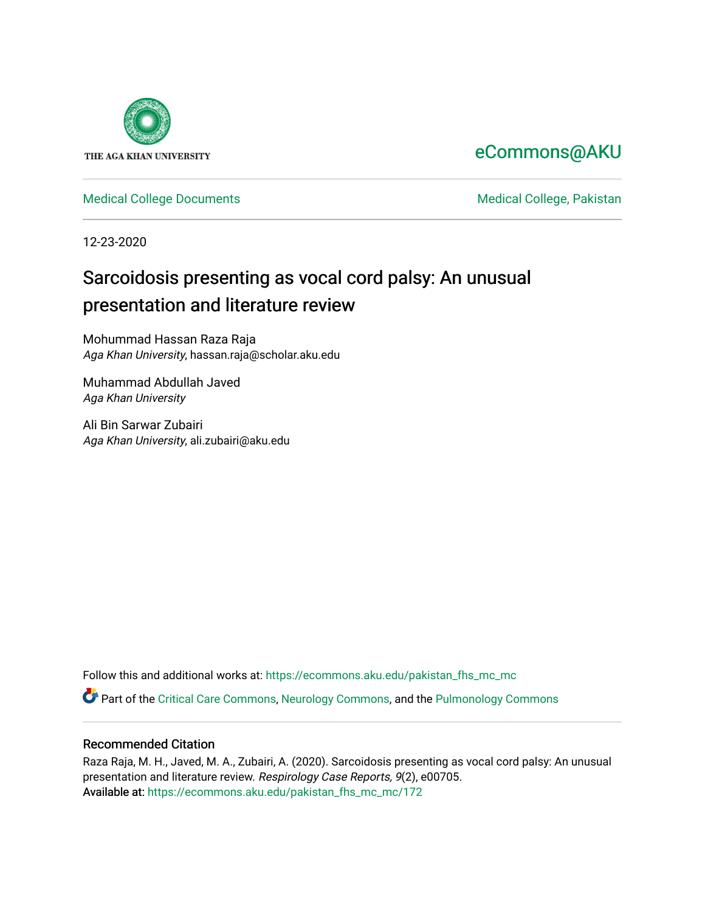

# [eCommons@AKU](https://ecommons.aku.edu/)

[Medical College Documents](https://ecommons.aku.edu/pakistan_fhs_mc_mc) **Medical College, Pakistan** 

12-23-2020

# Sarcoidosis presenting as vocal cord palsy: An unusual presentation and literature review

Mohummad Hassan Raza Raja Aga Khan University, hassan.raja@scholar.aku.edu

Muhammad Abdullah Javed Aga Khan University

Ali Bin Sarwar Zubairi Aga Khan University, ali.zubairi@aku.edu

Follow this and additional works at: [https://ecommons.aku.edu/pakistan\\_fhs\\_mc\\_mc](https://ecommons.aku.edu/pakistan_fhs_mc_mc?utm_source=ecommons.aku.edu%2Fpakistan_fhs_mc_mc%2F172&utm_medium=PDF&utm_campaign=PDFCoverPages) 

Part of the [Critical Care Commons,](http://network.bepress.com/hgg/discipline/1226?utm_source=ecommons.aku.edu%2Fpakistan_fhs_mc_mc%2F172&utm_medium=PDF&utm_campaign=PDFCoverPages) [Neurology Commons](http://network.bepress.com/hgg/discipline/692?utm_source=ecommons.aku.edu%2Fpakistan_fhs_mc_mc%2F172&utm_medium=PDF&utm_campaign=PDFCoverPages), and the [Pulmonology Commons](http://network.bepress.com/hgg/discipline/1363?utm_source=ecommons.aku.edu%2Fpakistan_fhs_mc_mc%2F172&utm_medium=PDF&utm_campaign=PDFCoverPages)

# Recommended Citation

Raza Raja, M. H., Javed, M. A., Zubairi, A. (2020). Sarcoidosis presenting as vocal cord palsy: An unusual presentation and literature review. Respirology Case Reports, 9(2), e00705. Available at: [https://ecommons.aku.edu/pakistan\\_fhs\\_mc\\_mc/172](https://ecommons.aku.edu/pakistan_fhs_mc_mc/172)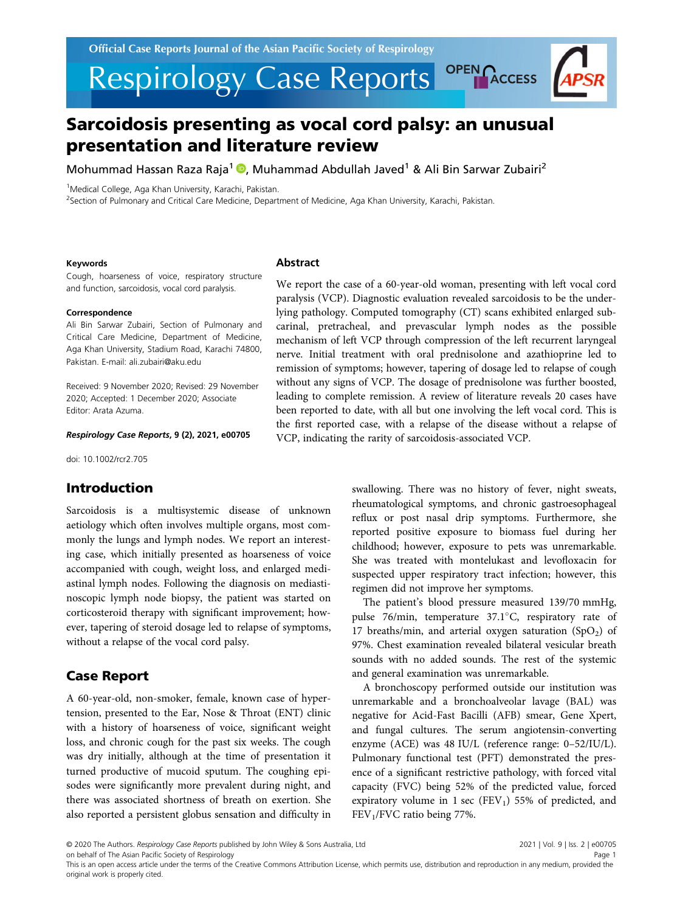

Mohummad Hassan Raza Raja<sup>1</sup> , Muhammad Abdullah Javed<sup>1</sup> & Ali Bin Sarwar Zubairi<sup>2</sup>

<sup>1</sup>Medical College, Aga Khan University, Karachi, Pakistan.

<sup>2</sup>Section of Pulmonary and Critical Care Medicine, Department of Medicine, Aga Khan University, Karachi, Pakistan.

#### Keywords

Cough, hoarseness of voice, respiratory structure and function, sarcoidosis, vocal cord paralysis.

### Correspondence

Ali Bin Sarwar Zubairi, Section of Pulmonary and Critical Care Medicine, Department of Medicine, Aga Khan University, Stadium Road, Karachi 74800, Pakistan. E-mail: ali.zubairi@aku.edu

Received: 9 November 2020; Revised: 29 November 2020; Accepted: 1 December 2020; Associate Editor: Arata Azuma.

## Respirology Case Reports, 9 (2), 2021, e00705

doi: 10.1002/rcr2.705

# Introduction

Sarcoidosis is a multisystemic disease of unknown aetiology which often involves multiple organs, most commonly the lungs and lymph nodes. We report an interesting case, which initially presented as hoarseness of voice accompanied with cough, weight loss, and enlarged mediastinal lymph nodes. Following the diagnosis on mediastinoscopic lymph node biopsy, the patient was started on corticosteroid therapy with significant improvement; however, tapering of steroid dosage led to relapse of symptoms, without a relapse of the vocal cord palsy.

# Case Report

A 60-year-old, non-smoker, female, known case of hypertension, presented to the Ear, Nose & Throat (ENT) clinic with a history of hoarseness of voice, significant weight loss, and chronic cough for the past six weeks. The cough was dry initially, although at the time of presentation it turned productive of mucoid sputum. The coughing episodes were significantly more prevalent during night, and there was associated shortness of breath on exertion. She also reported a persistent globus sensation and difficulty in

# **Abstract**

We report the case of a 60-year-old woman, presenting with left vocal cord paralysis (VCP). Diagnostic evaluation revealed sarcoidosis to be the underlying pathology. Computed tomography (CT) scans exhibited enlarged subcarinal, pretracheal, and prevascular lymph nodes as the possible mechanism of left VCP through compression of the left recurrent laryngeal nerve. Initial treatment with oral prednisolone and azathioprine led to remission of symptoms; however, tapering of dosage led to relapse of cough without any signs of VCP. The dosage of prednisolone was further boosted, leading to complete remission. A review of literature reveals 20 cases have been reported to date, with all but one involving the left vocal cord. This is the first reported case, with a relapse of the disease without a relapse of VCP, indicating the rarity of sarcoidosis-associated VCP.

> swallowing. There was no history of fever, night sweats, rheumatological symptoms, and chronic gastroesophageal reflux or post nasal drip symptoms. Furthermore, she reported positive exposure to biomass fuel during her childhood; however, exposure to pets was unremarkable. She was treated with montelukast and levofloxacin for suspected upper respiratory tract infection; however, this regimen did not improve her symptoms.

> The patient's blood pressure measured 139/70 mmHg, pulse 76/min, temperature  $37.1^{\circ}$ C, respiratory rate of 17 breaths/min, and arterial oxygen saturation  $(SpO<sub>2</sub>)$  of 97%. Chest examination revealed bilateral vesicular breath sounds with no added sounds. The rest of the systemic and general examination was unremarkable.

> A bronchoscopy performed outside our institution was unremarkable and a bronchoalveolar lavage (BAL) was negative for Acid-Fast Bacilli (AFB) smear, Gene Xpert, and fungal cultures. The serum angiotensin-converting enzyme (ACE) was 48 IU/L (reference range: 0–52/IU/L). Pulmonary functional test (PFT) demonstrated the presence of a significant restrictive pathology, with forced vital capacity (FVC) being 52% of the predicted value, forced expiratory volume in 1 sec (FEV<sub>1</sub>) 55% of predicted, and FEV1/FVC ratio being 77%.

© 2020 The Authors. Respirology Case Reports published by John Wiley & Sons Australia, Ltd

on behalf of The Asian Pacific Society of Respirology

2021 | Vol. 9 | Iss. 2 | e00705 Page 1

This is an open access article under the terms of the [Creative Commons Attribution](http://creativecommons.org/licenses/by/4.0/) License, which permits use, distribution and reproduction in any medium, provided the original work is properly cited.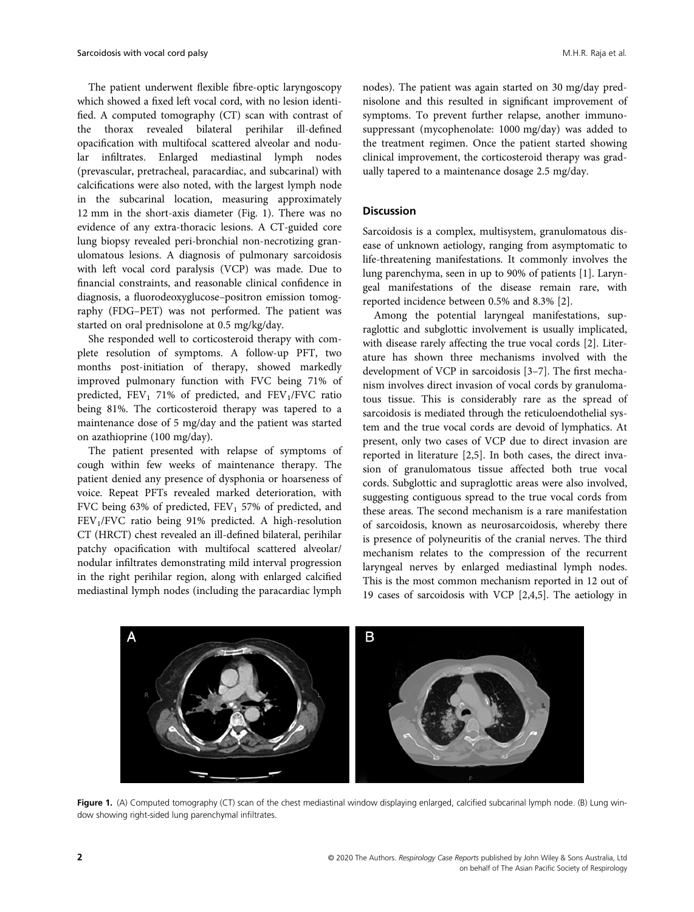The patient underwent flexible fibre-optic laryngoscopy which showed a fixed left vocal cord, with no lesion identified. A computed tomography (CT) scan with contrast of the thorax revealed bilateral perihilar ill-defined opacification with multifocal scattered alveolar and nodular infiltrates. Enlarged mediastinal lymph nodes (prevascular, pretracheal, paracardiac, and subcarinal) with calcifications were also noted, with the largest lymph node in the subcarinal location, measuring approximately 12 mm in the short-axis diameter (Fig. 1). There was no evidence of any extra-thoracic lesions. A CT-guided core lung biopsy revealed peri-bronchial non-necrotizing granulomatous lesions. A diagnosis of pulmonary sarcoidosis with left vocal cord paralysis (VCP) was made. Due to financial constraints, and reasonable clinical confidence in diagnosis, a fluorodeoxyglucose–positron emission tomography (FDG–PET) was not performed. The patient was started on oral prednisolone at 0.5 mg/kg/day.

She responded well to corticosteroid therapy with complete resolution of symptoms. A follow-up PFT, two months post-initiation of therapy, showed markedly improved pulmonary function with FVC being 71% of predicted,  $FEV_1$  71% of predicted, and  $FEV_1/FVC$  ratio being 81%. The corticosteroid therapy was tapered to a maintenance dose of 5 mg/day and the patient was started on azathioprine (100 mg/day).

The patient presented with relapse of symptoms of cough within few weeks of maintenance therapy. The patient denied any presence of dysphonia or hoarseness of voice. Repeat PFTs revealed marked deterioration, with FVC being 63% of predicted,  $FEV<sub>1</sub>$  57% of predicted, and FEV<sub>1</sub>/FVC ratio being 91% predicted. A high-resolution CT (HRCT) chest revealed an ill-defined bilateral, perihilar patchy opacification with multifocal scattered alveolar/ nodular infiltrates demonstrating mild interval progression in the right perihilar region, along with enlarged calcified mediastinal lymph nodes (including the paracardiac lymph

nodes). The patient was again started on 30 mg/day prednisolone and this resulted in significant improvement of symptoms. To prevent further relapse, another immunosuppressant (mycophenolate: 1000 mg/day) was added to the treatment regimen. Once the patient started showing clinical improvement, the corticosteroid therapy was gradually tapered to a maintenance dosage 2.5 mg/day.

# Discussion

Sarcoidosis is a complex, multisystem, granulomatous disease of unknown aetiology, ranging from asymptomatic to life-threatening manifestations. It commonly involves the lung parenchyma, seen in up to 90% of patients [1]. Laryngeal manifestations of the disease remain rare, with reported incidence between 0.5% and 8.3% [2].

Among the potential laryngeal manifestations, supraglottic and subglottic involvement is usually implicated, with disease rarely affecting the true vocal cords [2]. Literature has shown three mechanisms involved with the development of VCP in sarcoidosis [3–7]. The first mechanism involves direct invasion of vocal cords by granulomatous tissue. This is considerably rare as the spread of sarcoidosis is mediated through the reticuloendothelial system and the true vocal cords are devoid of lymphatics. At present, only two cases of VCP due to direct invasion are reported in literature [2,5]. In both cases, the direct invasion of granulomatous tissue affected both true vocal cords. Subglottic and supraglottic areas were also involved, suggesting contiguous spread to the true vocal cords from these areas. The second mechanism is a rare manifestation of sarcoidosis, known as neurosarcoidosis, whereby there is presence of polyneuritis of the cranial nerves. The third mechanism relates to the compression of the recurrent laryngeal nerves by enlarged mediastinal lymph nodes. This is the most common mechanism reported in 12 out of 19 cases of sarcoidosis with VCP [2,4,5]. The aetiology in



Figure 1. (A) Computed tomography (CT) scan of the chest mediastinal window displaying enlarged, calcified subcarinal lymph node. (B) Lung window showing right-sided lung parenchymal infiltrates.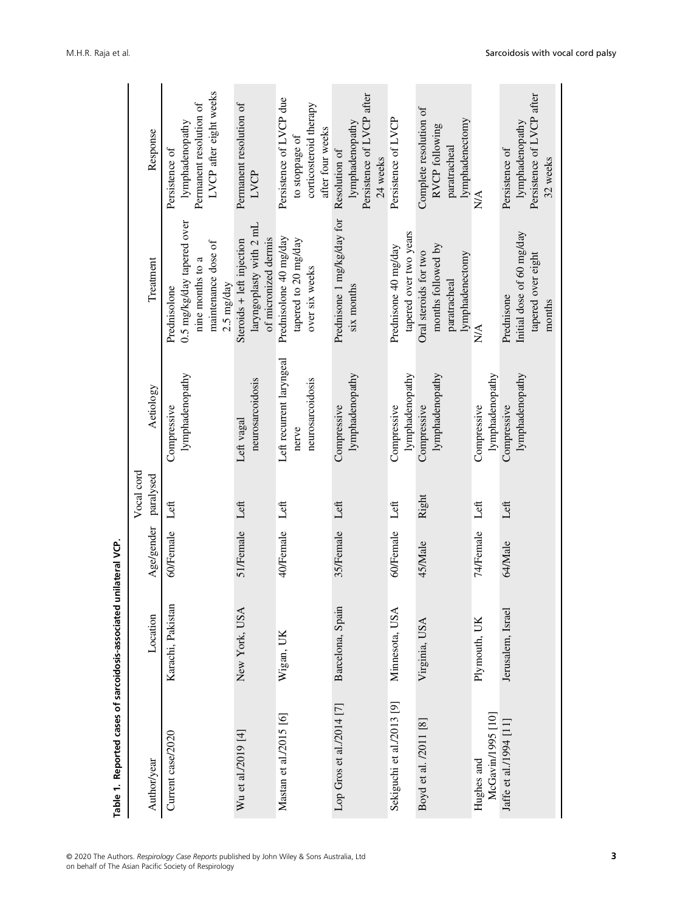| Table 1. Reported cases of sarcoidosis-associated |                   | unilateral VCP.      |            |                                                       |                                                                                                     |                                                                                         |
|---------------------------------------------------|-------------------|----------------------|------------|-------------------------------------------------------|-----------------------------------------------------------------------------------------------------|-----------------------------------------------------------------------------------------|
|                                                   |                   |                      | Vocal cord |                                                       |                                                                                                     |                                                                                         |
| Author/year                                       | Location          | Age/gender paralysed |            | Aetiology                                             | Treatment                                                                                           | Response                                                                                |
| Current case/2020                                 | Karachi, Pakistan | 60/Female            | Left       | lymphadenopathy<br>Compressive                        | 0.5 mg/kg/day tapered over<br>maintenance dose of<br>nine months to a<br>2.5 mg/day<br>Prednisolone | LVCP after eight weeks<br>Permanent resolution of<br>lymphadenopathy<br>Persistence of  |
| Wu et al./2019 [4]                                | New York, USA     | 51/Female Left       |            | neurosarcoidosis<br>Left vagal                        | laryngoplasty with 2 mL<br>of micronized dermis<br>Steroids + left injection                        | Permanent resolution of<br><b>EXCP</b>                                                  |
| Mastan et al./2015 [6]                            | Wigan, UK         | 40/Female            | Left       | Left recurrent laryngeal<br>neurosarcoidosis<br>nerve | Prednisolone 40 mg/day<br>tapered to 20 mg/day<br>over six weeks                                    | Persistence of LVCP due<br>corticosteroid therapy<br>after four weeks<br>to stoppage of |
| Lop Gros et al./2014 [7]                          | Barcelona, Spain  | 35/Female            | Left       | lymphadenopathy<br>Compressive                        | Prednisone 1 mg/kg/day for Resolution of<br>six months                                              | Persistence of LVCP after<br>lymphadenopathy<br>24 weeks                                |
| Sekiguchi et al./2013 [9]                         | Minnesota, USA    | 60/Female            | Left       | lymphadenopathy<br>Compressive                        | tapered over two years<br>Prednisone 40 mg/day                                                      | Persistence of LVCP                                                                     |
| Boyd et al. /2011 [8]                             | Virginia, USA     | 45/Male              | Right      | lymphadenopathy<br>Compressive                        | months followed by<br>Oral steroids for two<br>lymphadenectomy<br>paratracheal                      | Complete resolution of<br>lymphadenectomy<br>RVCP following<br>paratracheal             |
| McGavin/1995 [10]<br>Hughes and                   | Plymouth, UK      | 74/Female            | Left       | lymphadenopathy<br>Compressive                        | N/A                                                                                                 | $\frac{\triangle}{N}$                                                                   |
| Jaffe et al./1994 [11]                            | Jerusalem, Israel | 64/Male              | Left       | lymphadenopathy<br>Compressive                        | Initial dose of 60 mg/day<br>tapered over eight<br>Prednisone<br>months                             | Persistence of LVCP after<br>lymphadenopathy<br>Persistence of<br>32 weeks              |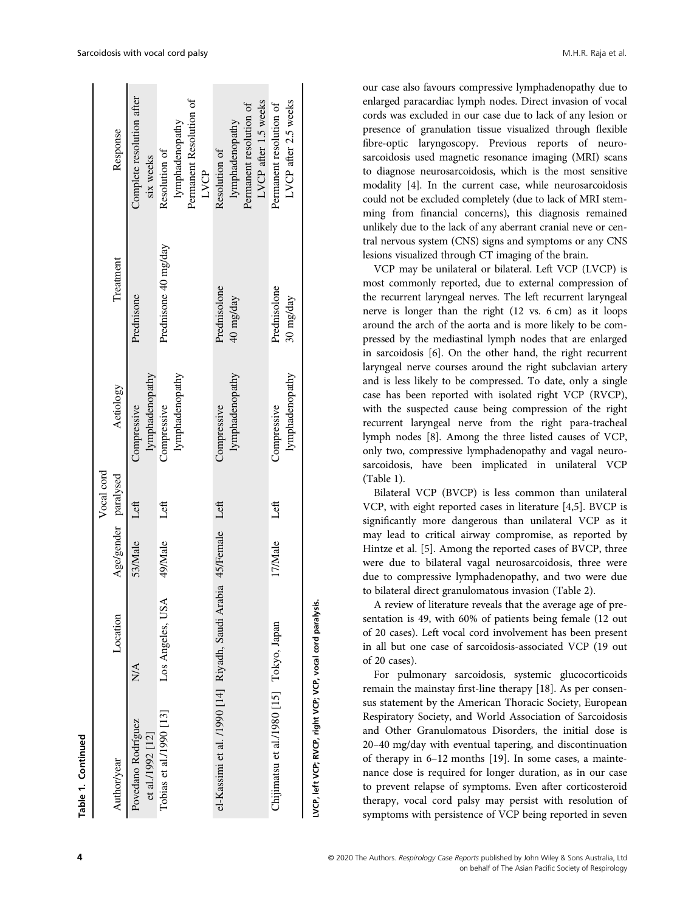| ā           |
|-------------|
| E           |
|             |
| Dunium Dunc |
|             |
| ،<br>ا      |
|             |
|             |
|             |
|             |
| ₹           |
|             |
|             |
|             |
|             |
| Table       |
|             |

Ţ

|                                                                  |                  |                      | Vocal cord |                                       |                           |                                                                                     |
|------------------------------------------------------------------|------------------|----------------------|------------|---------------------------------------|---------------------------|-------------------------------------------------------------------------------------|
| Author/year                                                      | Location         | Age/gender paralysed |            | Aetiology                             | Treatment                 | Response                                                                            |
| Povedano Rodríguez<br>et al./1992 [12]                           | ΧŃ.              | 53/Male              | Left       | lymphadenopathy<br><b>Compressive</b> | Prednisone                | Complete resolution after<br>six weeks                                              |
| Tobias et al./1990 [13]                                          | Los Angeles, USA | 49/Male              | Left       | lymphadenopathy<br>Compressive        | Prednisone 40 mg/day      | Permanent Resolution of<br>lymphadenopathy<br>Resolution of<br>LVCP                 |
| el-Kassimi et al. /1990 [14] Riyadh, Saudi Arabia 45/Female Left |                  |                      |            | lymphadenopathy<br><b>Compressive</b> | Prednisolone<br>40 mg/day | LVCP after 1.5 weeks<br>Permanent resolution of<br>lymphadenopathy<br>Resolution of |
| Chijimatsu et al./1980 [15] Tokyo, Japan                         |                  | 17/Male              | Left       | lymphadenopathy<br>Compressive        | Prednisolone<br>30 mg/day | LVCP after 2.5 weeks<br>Permanent resolution of                                     |
| LVCP, left VCP; RVCP, right VCP; VCP, vocal cord paralysis.      |                  |                      |            |                                       |                           |                                                                                     |

our case also favours compressive lymphadenopathy due to enlarged paracardiac lymph nodes. Direct invasion of vocal cords was excluded in our case due to lack of any lesion or presence of granulation tissue visualized through flexible fibre-optic laryngoscopy. Previous reports of neurosarcoidosis used magnetic resonance imaging (MRI) scans to diagnose neurosarcoidosis, which is the most sensitive modality [4]. In the current case, while neurosarcoidosis could not be excluded completely (due to lack of MRI stemming from financial concerns), this diagnosis remained unlikely due to the lack of any aberrant cranial neve or central nervous system (CNS) signs and symptoms or any CNS lesions visualized through CT imaging of the brain.

VCP may be unilateral or bilateral. Left VCP (LVCP) is most commonly reported, due to external compression of the recurrent laryngeal nerves. The left recurrent laryngeal nerve is longer than the right (12 vs. 6 cm) as it loops around the arch of the aorta and is more likely to be compressed by the mediastinal lymph nodes that are enlarged in sarcoidosis [6]. On the other hand, the right recurrent laryngeal nerve courses around the right subclavian artery and is less likely to be compressed. To date, only a single case has been reported with isolated right VCP (RVCP), with the suspected cause being compression of the right recurrent laryngeal nerve from the right para-tracheal lymph nodes [8]. Among the three listed causes of VCP, only two, compressive lymphadenopathy and vagal neurosarcoidosis, have been implicated in unilateral VCP (Table 1).

Bilateral VCP (BVCP) is less common than unilateral VCP, with eight reported cases in literature [4,5]. BVCP is significantly more dangerous than unilateral VCP as it may lead to critical airway compromise, as reported by Hintze et al. [5]. Among the reported cases of BVCP, three were due to bilateral vagal neurosarcoidosis, three were due to compressive lymphadenopathy, and two were due to bilateral direct granulomatous invasion (Table 2).

A review of literature reveals that the average age of presentation is 49, with 60% of patients being female (12 out of 20 cases). Left vocal cord involvement has been present in all but one case of sarcoidosis-associated VCP (19 out of 20 cases).

For pulmonary sarcoidosis, systemic glucocorticoids remain the mainstay first-line therapy [18]. As per consensus statement by the American Thoracic Society, European Respiratory Society, and World Association of Sarcoidosis and Other Granulomatous Disorders, the initial dose is 20–40 mg/day with eventual tapering, and discontinuation of therapy in 6–12 months [19]. In some cases, a maintenance dose is required for longer duration, as in our case to prevent relapse of symptoms. Even after corticosteroid therapy, vocal cord palsy may persist with resolution of symptoms with persistence of VCP being reported in seven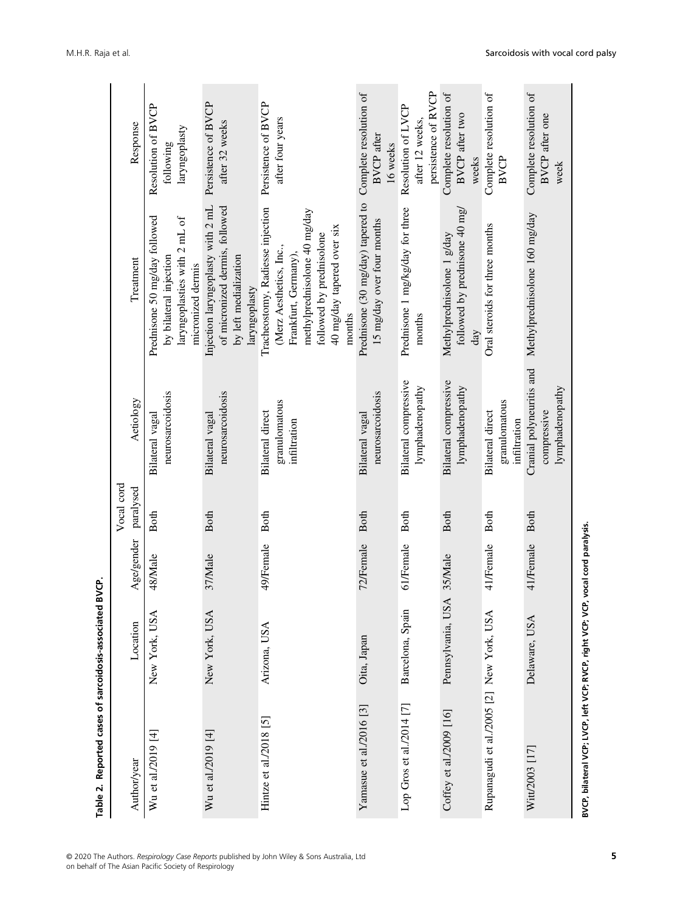| Table 2. Reported cases of sarcoidosis-associated |                   | BVCP.      |             |                                                            |                                                                                                                                                                                         |                                                              |
|---------------------------------------------------|-------------------|------------|-------------|------------------------------------------------------------|-----------------------------------------------------------------------------------------------------------------------------------------------------------------------------------------|--------------------------------------------------------------|
|                                                   |                   |            | Vocal cord  |                                                            |                                                                                                                                                                                         |                                                              |
| Author/year                                       | Location          | Age/gender | paralysed   | Aetiology                                                  | Treatment                                                                                                                                                                               | Response                                                     |
| Wu et al./2019 [4]                                | New York, USA     | 48/Male    | <b>Both</b> | neurosarcoidosis<br>Bilateral vagal                        | Prednisone 50 mg/day followed<br>laryngoplasties with 2 mL of<br>by bilateral injection<br>micronized dermis                                                                            | Resolution of BVCP<br>laryngoplasty<br>following             |
| Wu et al./2019 [4]                                | New York, USA     | 37/Male    | <b>Both</b> | neurosarcoidosis<br>Bilateral vagal                        | Injection laryngoplasty with 2 mL<br>of micronized dermis, followed<br>by left medialization<br>laryngoplasty                                                                           | Persistence of BVCP<br>after 32 weeks                        |
| Hintze et al./2018 [5]                            | Arizona, USA      | 49/Female  | <b>Both</b> | granulomatous<br><b>Bilateral</b> direct<br>infiltration   | Tracheostomy, Radiesse injection<br>methylprednisolone 40 mg/day<br>40 mg/day tapered over six<br>followed by prednisolone<br>(Merz Aesthetics, Inc.,<br>Frankfurt, Germany),<br>months | Persistence of BVCP<br>after four years                      |
| Yamasue et al./2016 $[3]$                         | Oita, Japan       | 72/Female  | <b>Both</b> | neurosarcoidosis<br>Bilateral vagal                        | Prednisone (30 mg/day) tapered to<br>15 mg/day over four months                                                                                                                         | Complete resolution of<br><b>BVCP</b> after<br>16 weeks      |
| Lop Gros et al./2014 [7]                          | Barcelona, Spain  | 61/Female  | <b>Both</b> | Bilateral compressive<br>lymphadenopathy                   | Prednisone 1 mg/kg/day for three<br>months                                                                                                                                              | persistence of RVCP<br>Resolution of LVCP<br>after 12 weeks, |
| Coffey et al./2009 [16]                           | Pennsylvania, USA | 35/Male    | <b>Both</b> | Bilateral compressive<br>lymphadenopathy                   | followed by prednisone 40 mg/<br>Methylprednisolone 1 g/day<br>day                                                                                                                      | Complete resolution of<br>BVCP after two<br>weeks            |
| Rupanagudi et al./2005 [2] New York, USA          |                   | 41/Female  | <b>Both</b> | granulomatous<br><b>Bilateral direct</b><br>infiltration   | Oral steroids for three months                                                                                                                                                          | Complete resolution of<br><b>BVCP</b>                        |
| Witt/2003 [17]                                    | Delaware, USA     | 41/Female  | <b>Both</b> | Cranial polyneuritis and<br>lymphadenopathy<br>compressive | Methylprednisolone 160 mg/day                                                                                                                                                           | Complete resolution of<br><b>BVCP</b> after one<br>week      |

5

BVCP, bilateral VCP; LVCP, left VCP; RVCP, right VCP; VCP, vocal cord paralysis.

BVCP, bilateral VCP; LVCP, left VCP; RVCP, right VCP; VCP, vocal cord paralysis.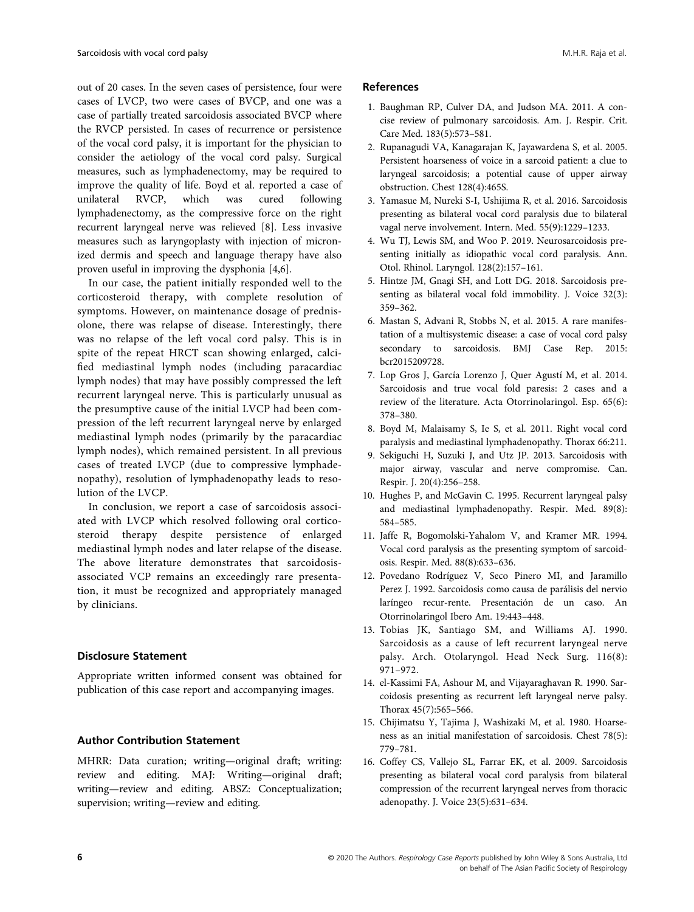out of 20 cases. In the seven cases of persistence, four were cases of LVCP, two were cases of BVCP, and one was a case of partially treated sarcoidosis associated BVCP where the RVCP persisted. In cases of recurrence or persistence of the vocal cord palsy, it is important for the physician to consider the aetiology of the vocal cord palsy. Surgical measures, such as lymphadenectomy, may be required to improve the quality of life. Boyd et al. reported a case of unilateral RVCP, which was cured following lymphadenectomy, as the compressive force on the right recurrent laryngeal nerve was relieved [8]. Less invasive measures such as laryngoplasty with injection of micronized dermis and speech and language therapy have also proven useful in improving the dysphonia [4,6].

In our case, the patient initially responded well to the corticosteroid therapy, with complete resolution of symptoms. However, on maintenance dosage of prednisolone, there was relapse of disease. Interestingly, there was no relapse of the left vocal cord palsy. This is in spite of the repeat HRCT scan showing enlarged, calcified mediastinal lymph nodes (including paracardiac lymph nodes) that may have possibly compressed the left recurrent laryngeal nerve. This is particularly unusual as the presumptive cause of the initial LVCP had been compression of the left recurrent laryngeal nerve by enlarged mediastinal lymph nodes (primarily by the paracardiac lymph nodes), which remained persistent. In all previous cases of treated LVCP (due to compressive lymphadenopathy), resolution of lymphadenopathy leads to resolution of the LVCP.

In conclusion, we report a case of sarcoidosis associated with LVCP which resolved following oral corticosteroid therapy despite persistence of enlarged mediastinal lymph nodes and later relapse of the disease. The above literature demonstrates that sarcoidosisassociated VCP remains an exceedingly rare presentation, it must be recognized and appropriately managed by clinicians.

# Disclosure Statement

Appropriate written informed consent was obtained for publication of this case report and accompanying images.

# Author Contribution Statement

MHRR: Data curation; writing—original draft; writing: review and editing. MAJ: Writing—original draft; writing—review and editing. ABSZ: Conceptualization; supervision; writing—review and editing.

# References

- 1. Baughman RP, Culver DA, and Judson MA. 2011. A concise review of pulmonary sarcoidosis. Am. J. Respir. Crit. Care Med. 183(5):573–581.
- 2. Rupanagudi VA, Kanagarajan K, Jayawardena S, et al. 2005. Persistent hoarseness of voice in a sarcoid patient: a clue to laryngeal sarcoidosis; a potential cause of upper airway obstruction. Chest 128(4):465S.
- 3. Yamasue M, Nureki S-I, Ushijima R, et al. 2016. Sarcoidosis presenting as bilateral vocal cord paralysis due to bilateral vagal nerve involvement. Intern. Med. 55(9):1229–1233.
- 4. Wu TJ, Lewis SM, and Woo P. 2019. Neurosarcoidosis presenting initially as idiopathic vocal cord paralysis. Ann. Otol. Rhinol. Laryngol. 128(2):157–161.
- 5. Hintze JM, Gnagi SH, and Lott DG. 2018. Sarcoidosis presenting as bilateral vocal fold immobility. J. Voice 32(3): 359–362.
- 6. Mastan S, Advani R, Stobbs N, et al. 2015. A rare manifestation of a multisystemic disease: a case of vocal cord palsy secondary to sarcoidosis. BMJ Case Rep. 2015: bcr2015209728.
- 7. Lop Gros J, García Lorenzo J, Quer Agustí M, et al. 2014. Sarcoidosis and true vocal fold paresis: 2 cases and a review of the literature. Acta Otorrinolaringol. Esp. 65(6): 378–380.
- 8. Boyd M, Malaisamy S, Ie S, et al. 2011. Right vocal cord paralysis and mediastinal lymphadenopathy. Thorax 66:211.
- 9. Sekiguchi H, Suzuki J, and Utz JP. 2013. Sarcoidosis with major airway, vascular and nerve compromise. Can. Respir. J. 20(4):256–258.
- 10. Hughes P, and McGavin C. 1995. Recurrent laryngeal palsy and mediastinal lymphadenopathy. Respir. Med. 89(8): 584–585.
- 11. Jaffe R, Bogomolski-Yahalom V, and Kramer MR. 1994. Vocal cord paralysis as the presenting symptom of sarcoidosis. Respir. Med. 88(8):633–636.
- 12. Povedano Rodríguez V, Seco Pinero MI, and Jaramillo Perez J. 1992. Sarcoidosis como causa de parálisis del nervio laríngeo recur-rente. Presentación de un caso. An Otorrinolaringol Ibero Am. 19:443–448.
- 13. Tobias JK, Santiago SM, and Williams AJ. 1990. Sarcoidosis as a cause of left recurrent laryngeal nerve palsy. Arch. Otolaryngol. Head Neck Surg. 116(8): 971–972.
- 14. el-Kassimi FA, Ashour M, and Vijayaraghavan R. 1990. Sarcoidosis presenting as recurrent left laryngeal nerve palsy. Thorax 45(7):565–566.
- 15. Chijimatsu Y, Tajima J, Washizaki M, et al. 1980. Hoarseness as an initial manifestation of sarcoidosis. Chest 78(5): 779–781.
- 16. Coffey CS, Vallejo SL, Farrar EK, et al. 2009. Sarcoidosis presenting as bilateral vocal cord paralysis from bilateral compression of the recurrent laryngeal nerves from thoracic adenopathy. J. Voice 23(5):631–634.